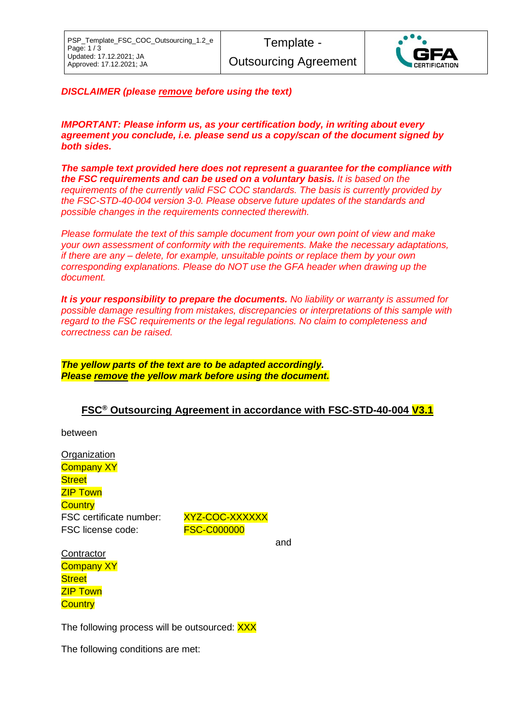

*DISCLAIMER (please remove before using the text)*

*IMPORTANT: Please inform us, as your certification body, in writing about every agreement you conclude, i.e. please send us a copy/scan of the document signed by both sides.*

*The sample text provided here does not represent a guarantee for the compliance with the FSC requirements and can be used on a voluntary basis. It is based on the requirements of the currently valid FSC COC standards. The basis is currently provided by the FSC-STD-40-004 version 3-0. Please observe future updates of the standards and possible changes in the requirements connected therewith.*

*Please formulate the text of this sample document from your own point of view and make your own assessment of conformity with the requirements. Make the necessary adaptations, if there are any – delete, for example, unsuitable points or replace them by your own corresponding explanations. Please do NOT use the GFA header when drawing up the document.*

*It is your responsibility to prepare the documents. No liability or warranty is assumed for possible damage resulting from mistakes, discrepancies or interpretations of this sample with regard to the FSC requirements or the legal regulations. No claim to completeness and correctness can be raised.*

*The yellow parts of the text are to be adapted accordingly. Please remove the yellow mark before using the document.*

## **FSC® Outsourcing Agreement in accordance with FSC-STD-40-004 V3.1**

between

**Organization Company XY Street** ZIP Town **Country** FSC certificate number: XYZ-COC-XXXXXX FSC license code: FSC-C000000

and

**Contractor Company XY Street ZIP Town Country** 

The following process will be outsourced: XXX

The following conditions are met: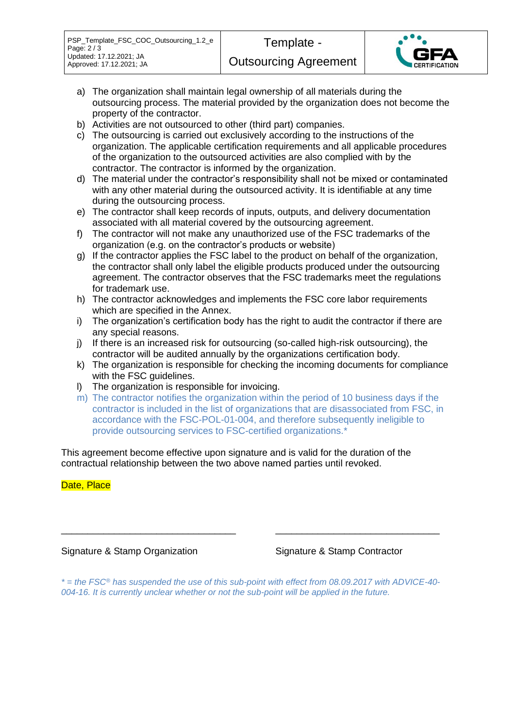- a) The organization shall maintain legal ownership of all materials during the outsourcing process. The material provided by the organization does not become the property of the contractor.
- b) Activities are not outsourced to other (third part) companies.
- c) The outsourcing is carried out exclusively according to the instructions of the organization. The applicable certification requirements and all applicable procedures of the organization to the outsourced activities are also complied with by the contractor. The contractor is informed by the organization.
- d) The material under the contractor's responsibility shall not be mixed or contaminated with any other material during the outsourced activity. It is identifiable at any time during the outsourcing process.
- e) The contractor shall keep records of inputs, outputs, and delivery documentation associated with all material covered by the outsourcing agreement.
- f) The contractor will not make any unauthorized use of the FSC trademarks of the organization (e.g. on the contractor's products or website)
- g) If the contractor applies the FSC label to the product on behalf of the organization, the contractor shall only label the eligible products produced under the outsourcing agreement. The contractor observes that the FSC trademarks meet the regulations for trademark use.
- h) The contractor acknowledges and implements the FSC core labor requirements which are specified in the Annex.
- i) The organization's certification body has the right to audit the contractor if there are any special reasons.
- j) If there is an increased risk for outsourcing (so-called high-risk outsourcing), the contractor will be audited annually by the organizations certification body.
- k) The organization is responsible for checking the incoming documents for compliance with the FSC guidelines.
- l) The organization is responsible for invoicing.
- m) The contractor notifies the organization within the period of 10 business days if the contractor is included in the list of organizations that are disassociated from FSC, in accordance with the FSC-POL-01-004, and therefore subsequently ineligible to provide outsourcing services to FSC-certified organizations.\*

This agreement become effective upon signature and is valid for the duration of the contractual relationship between the two above named parties until revoked.

Date, Place

Signature & Stamp Organization Signature & Stamp Contractor

*\* = the FSC® has suspended the use of this sub-point with effect from 08.09.2017 with ADVICE-40- 004-16. It is currently unclear whether or not the sub-point will be applied in the future.*

\_\_\_\_\_\_\_\_\_\_\_\_\_\_\_\_\_\_\_\_\_\_\_\_\_\_\_\_\_\_\_\_\_ \_\_\_\_\_\_\_\_\_\_\_\_\_\_\_\_\_\_\_\_\_\_\_\_\_\_\_\_\_\_\_